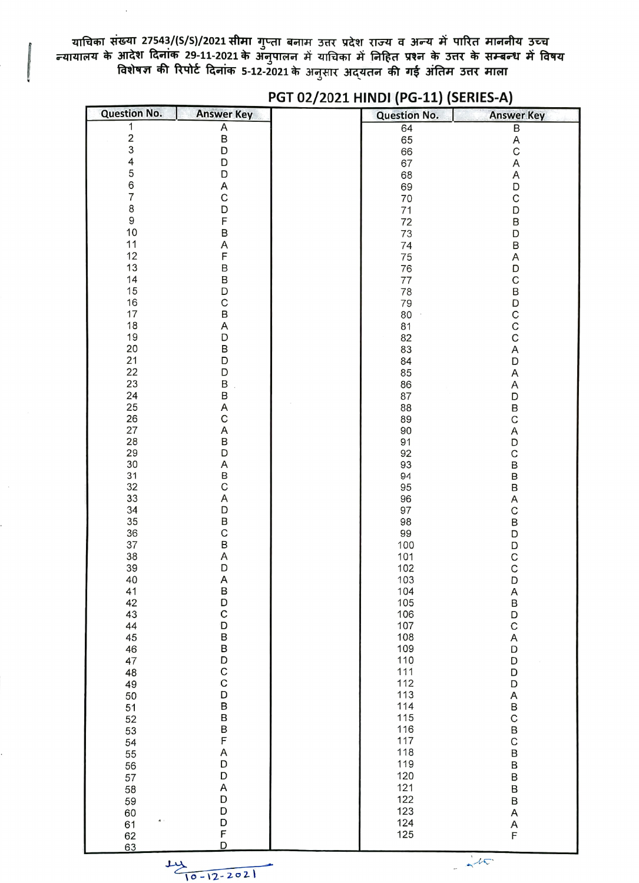याचिका संख्या 27543/(S/S)/2021 सीमा गुप्ता बनाम उत्तर प्रदेश राज्य व अन्य में पारित माननीय उच्च<br>न्यायालय के आदेश दिनांक 29-11-2021 के अनुपालन में याचिका में निहित प्रश्न के उत्तर के सम्बन्ध में विषय<br>विशेषज्ञ की रिपोर्ट दि

| <b>Question No.</b> | <b>Answer Key</b>     | <b>Question No.</b> | <b>Answer Key</b> |
|---------------------|-----------------------|---------------------|-------------------|
| 1                   | $\overline{A}$<br>$B$ | 64                  | B                 |
| $\frac{2}{3}$       |                       | 65                  | A                 |
|                     | D                     | 66                  | $\mathsf{C}$      |
| 4                   | D                     | 67                  | A                 |
| 5                   | D                     | 68                  | A                 |
| 6                   | Α                     | 69                  | D                 |
| $\overline{7}$      | C                     | 70                  | $\mathsf{C}$      |
| 8                   | D                     | 71                  | D                 |
| $\mathsf g$         | F                     | 72                  | B                 |
| 10                  | B                     | 73                  | D                 |
| 11<br>12            | Α<br>F                | 74                  | B                 |
| 13                  | B                     | 75                  | A                 |
| 14                  | B                     | 76<br>77            | D<br>$\mathsf C$  |
| 15                  | D                     | 78                  | $\sf B$           |
| 16                  | Ċ                     | 79                  |                   |
| 17                  | B                     | 80                  | D<br>C<br>C<br>C  |
| 18                  | Α                     | 81                  |                   |
| 19                  | D                     | 82                  |                   |
| 20                  | B                     | 83                  | A                 |
| 21                  | D                     | 84                  | D                 |
| 22                  | D                     | 85                  | Α                 |
| 23                  | B                     | 86                  | A                 |
| 24                  | B                     | 87                  | D                 |
| 25                  | Α                     | 88                  | B                 |
| 26                  | $\mathsf c$           | 89                  | C                 |
| 27                  | A                     | 90                  | Α                 |
| 28<br>29            | B<br>D                | 91<br>92            | D<br>C            |
| 30                  | Α                     | 93                  | B                 |
| 31                  | B                     | 94                  | B                 |
| 32                  | $\mathsf C$           | 95                  | B                 |
| 33                  | A                     | 96                  | A                 |
| 34                  | D                     | 97                  | C                 |
| 35                  | B<br>C                | 98                  | B                 |
| 36                  |                       | 99                  | D                 |
| 37                  | B                     | 100                 | D                 |
| 38                  | Α                     | 101                 | C                 |
| 39                  | D                     | 102                 | C                 |
| 40                  | Α                     | 103                 | D                 |
| 41<br>42            | B<br>D                | 104<br>105          | A<br>B<br>D       |
| 43                  | C                     | 106                 |                   |
| 44                  | D                     | 107                 | $\mathsf C$       |
| 45                  |                       | 108                 | A                 |
| 46                  |                       | 109                 | D                 |
| 47                  | B<br>B<br>D           | 110                 | D                 |
| 48                  |                       | 111                 | D                 |
| 49                  |                       | 112                 | D                 |
| 50                  | C<br>D<br>D<br>B      | 113                 | A                 |
| 51                  |                       | 114                 | B<br>C            |
| 52                  |                       | 115                 |                   |
| 53                  | B<br>B<br>F           | 116<br>117          | $\sf B$           |
| 54                  | A                     | 118                 | Ć                 |
| 55                  | D                     | 119                 | B<br>B            |
| 56<br>57            | D                     | 120                 |                   |
| 58                  | Α                     | 121                 | B<br>B            |
| 59                  |                       | 122                 | B                 |
| 60                  |                       | 123                 | A                 |
| 61                  | D<br>D<br>D<br>F      | 124                 |                   |
| 62                  |                       | 125                 | A<br>F            |
| 63                  | D                     |                     |                   |

## PGT 02/2021 HINDI (PG-11) (SERIES-A)



 $-4\pi$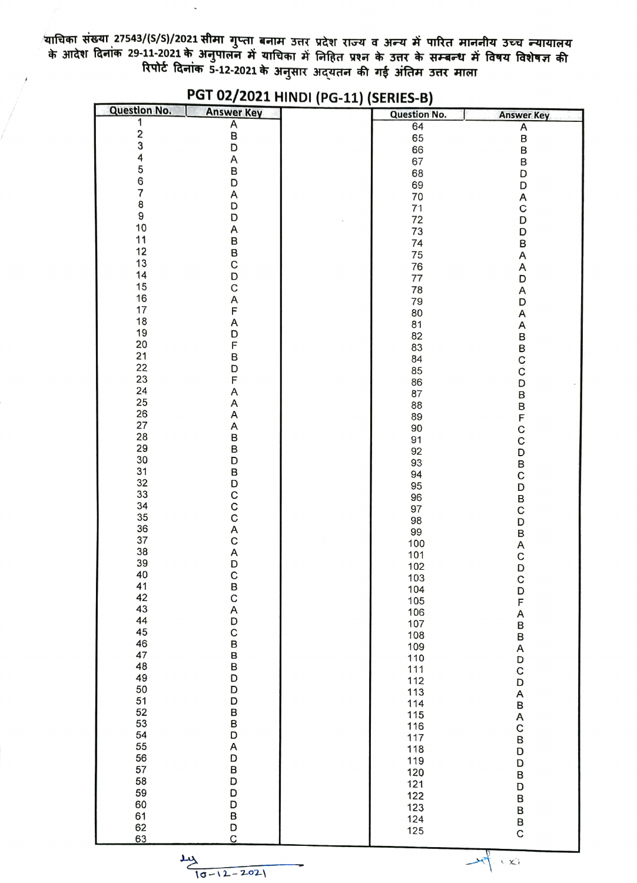्याचिका संख्या 27543/(S/S)/2021 सीमा गुप्ता बनाम उत्तर प्रदेश राज्य व अन्य में पारित माननीय उच्च न्यायालय<br>के आदेश दिनांक 29-11-2021 के अनुपालन में याचिका में निहित प्रश्न के उत्तर के सम्बन्ध में विषय विशेषज्ञ की<br>रिपोर्ट द

| <b>Question No.</b>                   | <b>Answer Key</b>   | <b>Question No.</b> | <b>Answer Key</b> |
|---------------------------------------|---------------------|---------------------|-------------------|
| 1                                     | $\overline{A}$<br>B | 64                  | Α                 |
| 234567                                |                     | 65                  | B                 |
|                                       | D                   | 66                  | B                 |
|                                       | Α                   | 67                  | B                 |
|                                       | B                   | 68                  | D                 |
|                                       | D                   | 69                  | D                 |
|                                       | Α                   | 70                  | A                 |
| $\begin{array}{c} 8 \\ 9 \end{array}$ | D                   | 71                  | C                 |
|                                       | D                   | 72                  | D                 |
| $10$                                  | A                   | 73                  | D                 |
| 11                                    | $\sf B$             | 74                  | B                 |
| 12                                    | B                   | 75                  | Α                 |
| 13                                    | C                   | 76                  | A                 |
| 14                                    | D                   | 77                  | D                 |
| 15                                    | C                   | 78                  | Α                 |
| 16                                    | Α                   | 79                  | D                 |
| 17                                    | F                   | 80                  | Α                 |
| 18                                    | Α                   | 81                  | A                 |
| 19                                    | D                   | 82                  | B                 |
| 20                                    | F                   | 83                  |                   |
| 21                                    | B                   | 84                  | B<br>C<br>C       |
| 22                                    | D                   | 85                  |                   |
| 23                                    | F                   | 86                  | D                 |
| 24                                    | Α                   | 87                  | B                 |
| 25                                    | A                   | 88                  |                   |
| 26                                    | A                   | 89                  |                   |
| 27                                    | Α                   | 90                  | B<br>F<br>C<br>C  |
| 28                                    | B                   | 91                  |                   |
| 29                                    | B                   | 92                  | D                 |
| 30                                    | D                   | 93                  | B<br>C            |
| 31                                    | B                   | 94                  |                   |
| 32                                    | D                   | 95                  | D                 |
| 33<br>34                              | C<br>C<br>C         | 96                  | B                 |
| 35                                    |                     | 97                  | C                 |
| 36                                    |                     | 98                  | D                 |
| 37                                    | A<br>C              | 99                  | B                 |
| 38                                    |                     | 100                 | A                 |
| 39                                    | Α<br>D              | 101                 | C                 |
| 40                                    | $\mathsf{C}$        | 102                 | D                 |
| 41                                    | B                   | 103                 | C                 |
| 42                                    |                     | 104                 | D<br>F<br>A       |
| 43                                    |                     | 105                 |                   |
| 44                                    |                     | 106<br>107          |                   |
| 45                                    | C<br>A<br>D<br>C    | 108                 | B                 |
| 46                                    | B                   | 109                 | B                 |
| 47                                    |                     | 110                 | A                 |
| 48                                    | B<br>B              | 111                 | D<br>C            |
| 49                                    | D                   | 112                 |                   |
| 50                                    | D                   | 113                 | D                 |
| 51                                    | D                   | 114                 | A                 |
| 52                                    |                     | 115                 | B<br>A<br>C       |
| 53                                    | B<br>D<br>D         | 116                 |                   |
| 54                                    |                     | 117                 | B                 |
| 55                                    | A                   | 118                 | D                 |
| 56                                    | D                   | 119                 | D                 |
| 57                                    | B                   | 120                 | B                 |
| 58                                    | D                   | 121                 | D                 |
| 59                                    | D                   | 122                 | B                 |
| 60                                    | D                   | 123                 | B                 |
| 61                                    |                     | 124                 |                   |
| 62                                    | B<br>D<br>C         | 125                 | B<br>C            |
| 63                                    |                     |                     |                   |

## PGT 02/2021 HINDI (PG-11) (SERIES-B)

 $\frac{14}{10-12-2021}$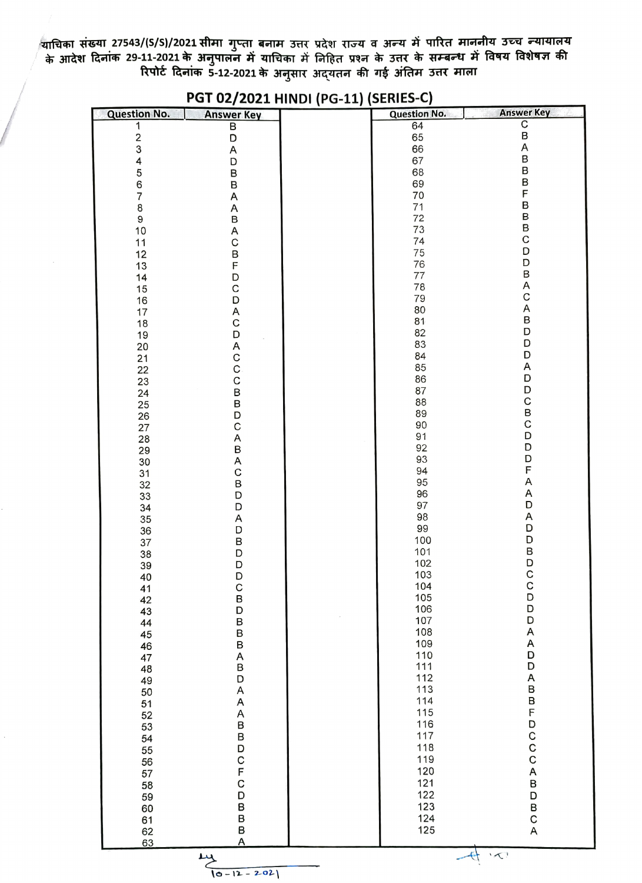याचिका संख्या 27543/(S/S)/2021 सीमा गुप्ता बनाम उत्तर प्रदेश राज्य व अन्य में पारित माननीय उच्च न्यायालय<br>के आदेश दिनांक 29-11-2021 के अनुपालन में याचिका में निहित प्रश्न के उत्तर के सम्बन्ध में विषय विशेषज्ञ की<br>रिपोर्ट दि

| <b>Question No.</b>                        | <b>Answer Key</b>     | <b>Question No.</b> | <b>Answer Key</b>     |
|--------------------------------------------|-----------------------|---------------------|-----------------------|
|                                            | $\overline{B}$        | 64                  | CBAB                  |
| $\begin{array}{c} 1 \\ 2 \\ 3 \end{array}$ | D                     | 65                  |                       |
|                                            | A                     | 66                  |                       |
| 4                                          | D                     | 67                  |                       |
| 5<br>6<br>7                                | B<br>B                | 68<br>69            | B<br>B                |
|                                            |                       | 70                  | F                     |
| 8                                          | A<br>Α                | 71                  |                       |
| 9                                          | $\sf B$               | 72                  | B<br>B<br>B<br>B<br>C |
| 10                                         |                       | 73                  |                       |
| 11                                         | A<br>C                | 74                  |                       |
| 12                                         | $\overline{B}$        | 75                  | D                     |
| 13                                         |                       | 76                  | D                     |
| 14                                         | D                     | $77 \,$             | B<br>A<br>C           |
| 15                                         | $\mathsf C$           | 78                  |                       |
| 16                                         | D                     | 79<br>80            |                       |
| 17                                         | A<br>C                | 81                  | A<br>B<br>D           |
| 18<br>19                                   |                       | 82                  |                       |
| 20                                         |                       | 83                  | D                     |
| 21                                         | <b>DACCCBBDC</b>      |                     | D                     |
| 22                                         |                       | 84<br>85            | A                     |
| 23                                         |                       | 86                  | D                     |
| 24                                         |                       | 87                  |                       |
| 25                                         |                       | 88                  |                       |
| 26                                         |                       | 89<br>90            |                       |
| 27                                         |                       | 91                  | <b>DCBCDDDFAAD</b>    |
| 28<br>29                                   | <b>ABACBDDA</b>       | 92                  |                       |
| 30                                         |                       | 93                  |                       |
| 31                                         |                       | 94                  |                       |
| 32                                         |                       | 95                  |                       |
| 33                                         |                       | 96                  |                       |
| 34                                         |                       | 97                  |                       |
| 35                                         |                       | 98<br>99            | ADDBDCC               |
| 36                                         | D                     | 100                 |                       |
| 37<br>38                                   | B<br>D<br>D<br>D<br>D | 101                 |                       |
|                                            |                       |                     |                       |
| 39<br>40                                   |                       | 102<br>103          |                       |
| 41                                         | $\mathsf{C}$          | 104                 |                       |
| 42                                         |                       | 105                 | D<br>D                |
| 43                                         |                       | 106                 |                       |
| 44                                         |                       | 107<br>108          | D                     |
| 45                                         |                       | 109                 | A<br>A                |
| 46<br>47                                   | BDBBABD               | 110                 | Ď                     |
| 48                                         |                       | 111                 | $\overline{D}$        |
| 49                                         |                       | 112                 | A                     |
| 50                                         | A                     | 113                 |                       |
| 51                                         |                       | 114                 | <b>BBFDCCCA</b>       |
| 52                                         | A<br>A<br>B<br>B      | 115                 |                       |
| 53                                         |                       | 116                 |                       |
| 54                                         |                       | 117                 |                       |
| 55                                         |                       | 118<br>119          |                       |
| 56                                         |                       | 120                 |                       |
| 57<br>58                                   |                       | 121                 | B                     |
| 59                                         |                       | 122                 | D                     |
| 60                                         |                       | 123                 | В                     |
| 61                                         |                       | 124                 |                       |
| 62                                         | <b>DCFCDBBA</b>       | 125                 | C<br>A                |
| 63                                         |                       |                     |                       |

## PGT 02/2021 HINDI (PG-11) (SERIES-C)

 $\frac{14}{10-12-202}$ 

 $-6$